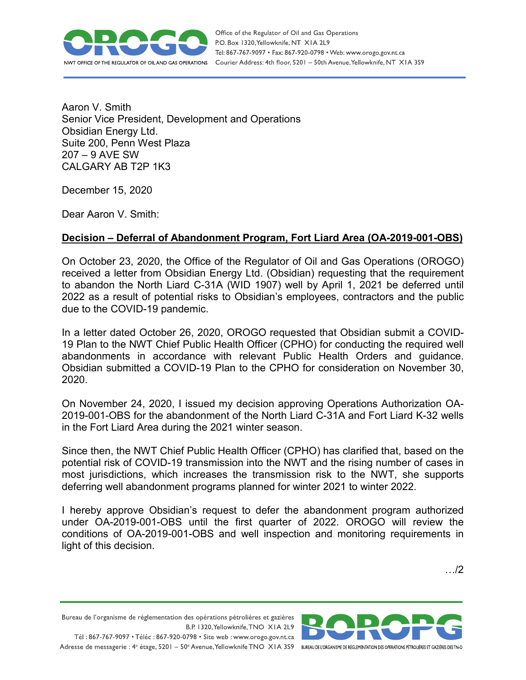

Aaron V. Smith Senior Vice President, Development and Operations Obsidian Energy Ltd. Suite 200, Penn West Plaza 207 – 9 AVE SW CALGARY AB T2P 1K3

December 15, 2020

Dear Aaron V. Smith:

## **Decision – Deferral of Abandonment Program, Fort Liard Area (OA-2019-001-OBS)**

On October 23, 2020, the Office of the Regulator of Oil and Gas Operations (OROGO) received a letter from Obsidian Energy Ltd. (Obsidian) requesting that the requirement to abandon the North Liard C-31A (WID 1907) well by April 1, 2021 be deferred until 2022 as a result of potential risks to Obsidian's employees, contractors and the public due to the COVID-19 pandemic.

In a letter dated October 26, 2020, OROGO requested that Obsidian submit a COVID-19 Plan to the NWT Chief Public Health Officer (CPHO) for conducting the required well abandonments in accordance with relevant Public Health Orders and guidance. Obsidian submitted a COVID-19 Plan to the CPHO for consideration on November 30, 2020.

On November 24, 2020, I issued my decision approving Operations Authorization OA-2019-001-OBS for the abandonment of the North Liard C-31A and Fort Liard K-32 wells in the Fort Liard Area during the 2021 winter season.

Since then, the NWT Chief Public Health Officer (CPHO) has clarified that, based on the potential risk of COVID-19 transmission into the NWT and the rising number of cases in most jurisdictions, which increases the transmission risk to the NWT, she supports deferring well abandonment programs planned for winter 2021 to winter 2022.

I hereby approve Obsidian's request to defer the abandonment program authorized under OA-2019-001-OBS until the first quarter of 2022. OROGO will review the conditions of OA-2019-001-OBS and well inspection and monitoring requirements in light of this decision.

…/2

Bureau de l'organisme de réglementation des opérations pétrolières et gazières B.P. 1320, Yellowknife, TNO XIA 2L9 Tél: 867-767-9097 • Téléc: 867-920-0798 • Site web: www.orogo.gov.nt.ca

Adresse de messagerie : 4<sup>e</sup> étage, 5201 - 50° Avenue, Yellowknife TNO XIA 3S9 BUREAU DEL'ORGANISME DE RÉGLEMENTATION DES OPERATIONS PÉTROLIÈRES ET GAZIÈRES DESTNO